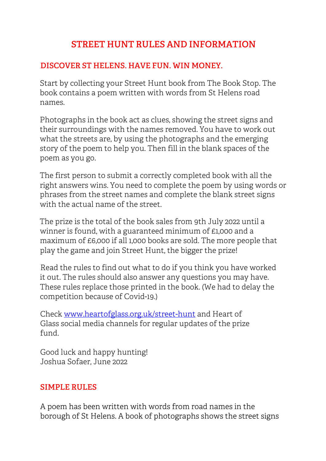# **STREET HUNT RULES AND INFORMATION**

### **DISCOVER ST HELENS. HAVE FUN. WIN MONEY.**

Start by collecting your Street Hunt book from The Book Stop. The book contains a poem written with words from St Helens road names.

Photographs in the book act as clues, showing the street signs and their surroundings with the names removed. You have to work out what the streets are, by using the photographs and the emerging story of the poem to help you. Then fill in the blank spaces of the poem as you go.

The first person to submit a correctly completed book with all the right answers wins. You need to complete the poem by using words or phrases from the street names and complete the blank street signs with the actual name of the street.

The prize is the total of the book sales from 9th July 2022 until a winner is found, with a guaranteed minimum of £1,000 and a maximum of £6,000 if all 1,000 books are sold. The more people that play the game and join Street Hunt, the bigger the prize!

Read the rules to find out what to do if you think you have worked it out. The rules should also answer any questions you may have. These rules replace those printed in the book. (We had to delay the competition because of Covid-19.)

Check www.heartofglass.org.uk/street-hunt and Heart of Glass social media channels for regular updates of the prize fund.

Good luck and happy hunting! Joshua Sofaer, June 2022

## **SIMPLE RULES**

A poem has been written with words from road names in the borough of St Helens. A book of photographs shows the street signs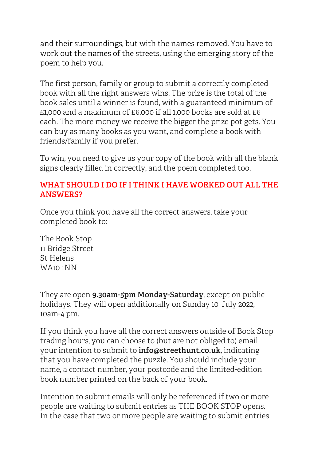and their surroundings, but with the names removed. You have to work out the names of the streets, using the emerging story of the poem to help you.

The first person, family or group to submit a correctly completed book with all the right answers wins. The prize is the total of the book sales until a winner is found, with a guaranteed minimum of £1,000 and a maximum of £6,000 if all 1,000 books are sold at £6 each. The more money we receive the bigger the prize pot gets. You can buy as many books as you want, and complete a book with friends/family if you prefer.

To win, you need to give us your copy of the book with all the blank signs clearly filled in correctly, and the poem completed too.

#### **WHAT SHOULD I DO IF I THINK I HAVE WORKED OUT ALL THE ANSWERS?**

Once you think you have all the correct answers, take your completed book to:

The Book Stop 11 Bridge Street St Helens WA10 1NN

They are open **9.30am-5pm Monday-Saturday**, except on public holidays. They will open additionally on Sunday 10 July 2022, 10am-4 pm.

If you think you have all the correct answers outside of Book Stop trading hours, you can choose to (but are not obliged to) email your intention to submit to **info@streethunt.co.uk,** indicating that you have completed the puzzle. You should include your name, a contact number, your postcode and the limited-edition book number printed on the back of your book.

Intention to submit emails will only be referenced if two or more people are waiting to submit entries as THE BOOK STOP opens. In the case that two or more people are waiting to submit entries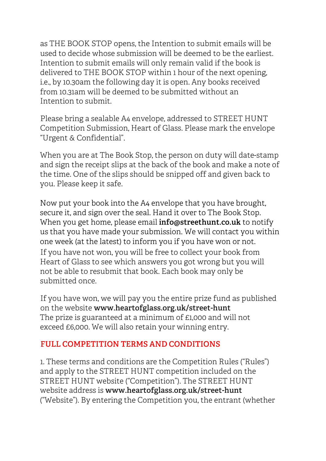as THE BOOK STOP opens, the Intention to submit emails will be used to decide whose submission will be deemed to be the earliest. Intention to submit emails will only remain valid if the book is delivered to THE BOOK STOP within 1 hour of the next opening, i.e., by 10.30am the following day it is open. Any books received from 10.31am will be deemed to be submitted without an Intention to submit.

Please bring a sealable A4 envelope, addressed to STREET HUNT Competition Submission, Heart of Glass. Please mark the envelope "Urgent & Confidential".

When you are at The Book Stop, the person on duty will date-stamp and sign the receipt slips at the back of the book and make a note of the time. One of the slips should be snipped off and given back to you. Please keep it safe.

Now put your book into the A4 envelope that you have brought, secure it, and sign over the seal. Hand it over to The Book Stop. When you get home, please email **info@streethunt.co.uk** to notify us that you have made your submission. We will contact you within one week (at the latest) to inform you if you have won or not. If you have not won, you will be free to collect your book from Heart of Glass to see which answers you got wrong but you will not be able to resubmit that book. Each book may only be submitted once.

If you have won, we will pay you the entire prize fund as published on the website **www.heartofglass.org.uk/street-hunt** The prize is guaranteed at a minimum of £1,000 and will not exceed £6,000. We will also retain your winning entry.

### **FULL COMPETITION TERMS AND CONDITIONS**

1. These terms and conditions are the Competition Rules ("Rules") and apply to the STREET HUNT competition included on the STREET HUNT website ("Competition"). The STREET HUNT website address is **www.heartofglass.org.uk/street-hunt** ("Website"). By entering the Competition you, the entrant (whether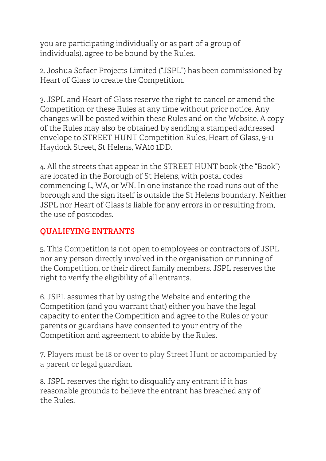you are participating individually or as part of a group of individuals), agree to be bound by the Rules.

2. Joshua Sofaer Projects Limited ("JSPL") has been commissioned by Heart of Glass to create the Competition.

3. JSPL and Heart of Glass reserve the right to cancel or amend the Competition or these Rules at any time without prior notice. Any changes will be posted within these Rules and on the Website. A copy of the Rules may also be obtained by sending a stamped addressed envelope to STREET HUNT Competition Rules, Heart of Glass, 9-11 Haydock Street, St Helens, WA10 1DD.

4. All the streets that appear in the STREET HUNT book (the "Book") are located in the Borough of St Helens, with postal codes commencing L, WA, or WN. In one instance the road runs out of the borough and the sign itself is outside the St Helens boundary. Neither JSPL nor Heart of Glass is liable for any errors in or resulting from, the use of postcodes.

## **QUALIFYING ENTRANTS**

5. This Competition is not open to employees or contractors of JSPL nor any person directly involved in the organisation or running of the Competition, or their direct family members. JSPL reserves the right to verify the eligibility of all entrants.

6. JSPL assumes that by using the Website and entering the Competition (and you warrant that) either you have the legal capacity to enter the Competition and agree to the Rules or your parents or guardians have consented to your entry of the Competition and agreement to abide by the Rules.

7. Players must be 18 or over to play Street Hunt or accompanied by a parent or legal guardian.

8. JSPL reserves the right to disqualify any entrant if it has reasonable grounds to believe the entrant has breached any of the Rules.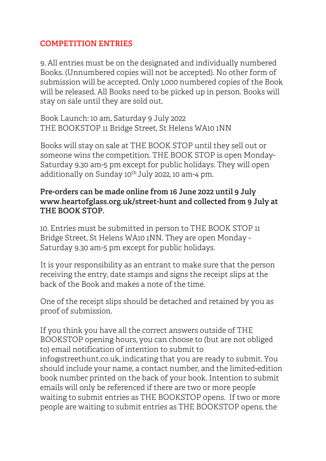#### **COMPETITION ENTRIES**

9. All entries must be on the designated and individually numbered Books. (Unnumbered copies will not be accepted). No other form of submission will be accepted. Only 1,000 numbered copies of the Book will be released. All Books need to be picked up in person. Books will stay on sale until they are sold out.

Book Launch: 10 am, Saturday 9 July 2022 THE BOOKSTOP 11 Bridge Street, St Helens WA10 1NN

Books will stay on sale at THE BOOK STOP until they sell out or someone wins the competition. THE BOOK STOP is open Monday-Saturday 9.30 am-5 pm except for public holidays. They will open additionally on Sunday  $10^{th}$  July 2022, 10 am-4 pm.

#### **Pre-orders can be made online from 16 June 2022 until 9 July www.heartofglass.org.uk/street-hunt and collected from 9 July at THE BOOK STOP.**

10. Entries must be submitted in person to THE BOOK STOP 11 Bridge Street, St Helens WA10 1NN. They are open Monday - Saturday 9.30 am-5 pm except for public holidays.

It is your responsibility as an entrant to make sure that the person receiving the entry, date stamps and signs the receipt slips at the back of the Book and makes a note of the time.

One of the receipt slips should be detached and retained by you as proof of submission.

If you think you have all the correct answers outside of THE BOOKSTOP opening hours, you can choose to (but are not obliged to) email notification of intention to submit to info@streethunt.co.uk, indicating that you are ready to submit. You should include your name, a contact number, and the limited-edition book number printed on the back of your book. Intention to submit emails will only be referenced if there are two or more people waiting to submit entries as THE BOOKSTOP opens. If two or more people are waiting to submit entries as THE BOOKSTOP opens, the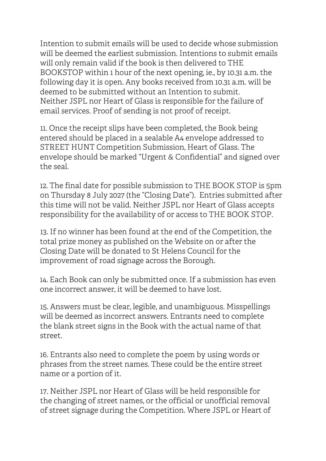Intention to submit emails will be used to decide whose submission will be deemed the earliest submission. Intentions to submit emails will only remain valid if the book is then delivered to THE BOOKSTOP within 1 hour of the next opening, ie., by 10.31 a.m. the following day it is open. Any books received from 10.31 a.m. will be deemed to be submitted without an Intention to submit. Neither JSPL nor Heart of Glass is responsible for the failure of email services. Proof of sending is not proof of receipt.

11. Once the receipt slips have been completed, the Book being entered should be placed in a sealable A4 envelope addressed to STREET HUNT Competition Submission, Heart of Glass. The envelope should be marked "Urgent & Confidential" and signed over the seal.

12. The final date for possible submission to THE BOOK STOP is 5pm on Thursday 8 July 2027 (the "Closing Date"). Entries submitted after this time will not be valid. Neither JSPL nor Heart of Glass accepts responsibility for the availability of or access to THE BOOK STOP.

13. If no winner has been found at the end of the Competition, the total prize money as published on the Website on or after the Closing Date will be donated to St Helens Council for the improvement of road signage across the Borough.

14. Each Book can only be submitted once. If a submission has even one incorrect answer, it will be deemed to have lost.

15. Answers must be clear, legible, and unambiguous. Misspellings will be deemed as incorrect answers. Entrants need to complete the blank street signs in the Book with the actual name of that street.

16. Entrants also need to complete the poem by using words or phrases from the street names. These could be the entire street name or a portion of it.

17. Neither JSPL nor Heart of Glass will be held responsible for the changing of street names, or the official or unofficial removal of street signage during the Competition. Where JSPL or Heart of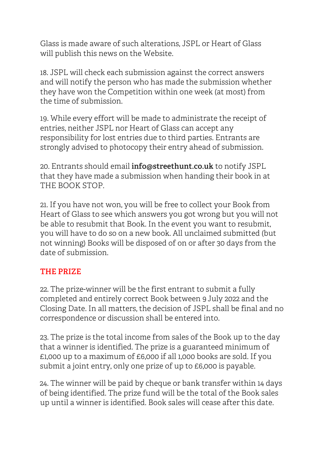Glass is made aware of such alterations, JSPL or Heart of Glass will publish this news on the Website.

18. JSPL will check each submission against the correct answers and will notify the person who has made the submission whether they have won the Competition within one week (at most) from the time of submission.

19. While every effort will be made to administrate the receipt of entries, neither JSPL nor Heart of Glass can accept any responsibility for lost entries due to third parties. Entrants are strongly advised to photocopy their entry ahead of submission.

20. Entrants should email **info@streethunt.co.uk** to notify JSPL that they have made a submission when handing their book in at THE BOOK STOP.

21. If you have not won, you will be free to collect your Book from Heart of Glass to see which answers you got wrong but you will not be able to resubmit that Book. In the event you want to resubmit, you will have to do so on a new book. All unclaimed submitted (but not winning) Books will be disposed of on or after 30 days from the date of submission.

## **THE PRIZE**

22. The prize-winner will be the first entrant to submit a fully completed and entirely correct Book between 9 July 2022 and the Closing Date. In all matters, the decision of JSPL shall be final and no correspondence or discussion shall be entered into.

23. The prize is the total income from sales of the Book up to the day that a winner is identified. The prize is a guaranteed minimum of £1,000 up to a maximum of £6,000 if all 1,000 books are sold. If you submit a joint entry, only one prize of up to £6,000 is payable.

24. The winner will be paid by cheque or bank transfer within 14 days of being identified. The prize fund will be the total of the Book sales up until a winner is identified. Book sales will cease after this date.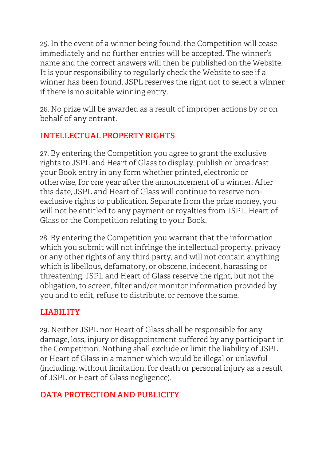25. In the event of a winner being found, the Competition will cease immediately and no further entries will be accepted. The winner's name and the correct answers will then be published on the Website. It is your responsibility to regularly check the Website to see if a winner has been found. JSPL reserves the right not to select a winner if there is no suitable winning entry.

26. No prize will be awarded as a result of improper actions by or on behalf of any entrant.

## **INTELLECTUAL PROPERTY RIGHTS**

27. By entering the Competition you agree to grant the exclusive rights to JSPL and Heart of Glass to display, publish or broadcast your Book entry in any form whether printed, electronic or otherwise, for one year after the announcement of a winner. After this date, JSPL and Heart of Glass will continue to reserve nonexclusive rights to publication. Separate from the prize money, you will not be entitled to any payment or royalties from JSPL, Heart of Glass or the Competition relating to your Book.

28. By entering the Competition you warrant that the information which you submit will not infringe the intellectual property, privacy or any other rights of any third party, and will not contain anything which is libellous, defamatory, or obscene, indecent, harassing or threatening. JSPL and Heart of Glass reserve the right, but not the obligation, to screen, filter and/or monitor information provided by you and to edit, refuse to distribute, or remove the same.

## **LIABILITY**

29. Neither JSPL nor Heart of Glass shall be responsible for any damage, loss, injury or disappointment suffered by any participant in the Competition. Nothing shall exclude or limit the liability of JSPL or Heart of Glass in a manner which would be illegal or unlawful (including, without limitation, for death or personal injury as a result of JSPL or Heart of Glass negligence).

## **DATA PROTECTION AND PUBLICITY**